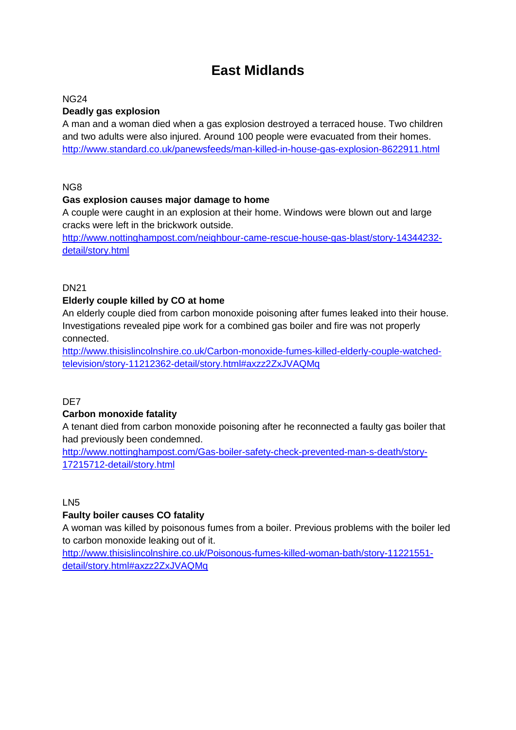# **East Midlands**

#### NG24

## **Deadly gas explosion**

A man and a woman died when a gas explosion destroyed a terraced house. Two children and two adults were also injured. Around 100 people were evacuated from their homes. <http://www.standard.co.uk/panewsfeeds/man-killed-in-house-gas-explosion-8622911.html>

NG8

#### **Gas explosion causes major damage to home**

A couple were caught in an explosion at their home. Windows were blown out and large cracks were left in the brickwork outside.

[http://www.nottinghampost.com/neighbour-came-rescue-house-gas-blast/story-14344232](http://www.nottinghampost.com/neighbour-came-rescue-house-gas-blast/story-14344232-detail/story.html) [detail/story.html](http://www.nottinghampost.com/neighbour-came-rescue-house-gas-blast/story-14344232-detail/story.html)

#### **DN21**

#### **Elderly couple killed by CO at home**

An elderly couple died from carbon monoxide poisoning after fumes leaked into their house. Investigations revealed pipe work for a combined gas boiler and fire was not properly connected.

[http://www.thisislincolnshire.co.uk/Carbon-monoxide-fumes-killed-elderly-couple-watched](http://www.thisislincolnshire.co.uk/Carbon-monoxide-fumes-killed-elderly-couple-watched-television/story-11212362-detail/story.html#axzz2ZxJVAQMq)[television/story-11212362-detail/story.html#axzz2ZxJVAQMq](http://www.thisislincolnshire.co.uk/Carbon-monoxide-fumes-killed-elderly-couple-watched-television/story-11212362-detail/story.html#axzz2ZxJVAQMq)

#### D<sub>E</sub>

## **Carbon monoxide fatality**

A tenant died from carbon monoxide poisoning after he reconnected a faulty gas boiler that had previously been condemned.

[http://www.nottinghampost.com/Gas-boiler-safety-check-prevented-man-s-death/story-](http://www.nottinghampost.com/Gas-boiler-safety-check-prevented-man-s-death/story-17215712-detail/story.html)[17215712-detail/story.html](http://www.nottinghampost.com/Gas-boiler-safety-check-prevented-man-s-death/story-17215712-detail/story.html)

LN5

#### **Faulty boiler causes CO fatality**

A woman was killed by poisonous fumes from a boiler. Previous problems with the boiler led to carbon monoxide leaking out of it.

[http://www.thisislincolnshire.co.uk/Poisonous-fumes-killed-woman-bath/story-11221551](http://www.thisislincolnshire.co.uk/Poisonous-fumes-killed-woman-bath/story-11221551-detail/story.html#axzz2ZxJVAQMq) [detail/story.html#axzz2ZxJVAQMq](http://www.thisislincolnshire.co.uk/Poisonous-fumes-killed-woman-bath/story-11221551-detail/story.html#axzz2ZxJVAQMq)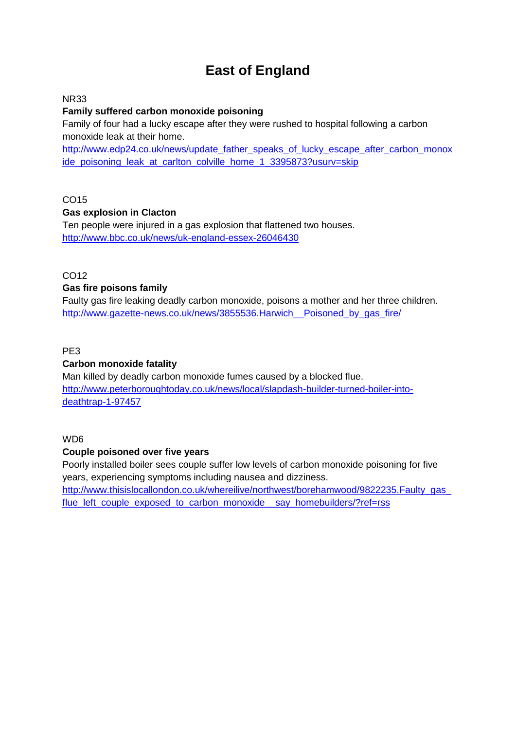# **East of England**

#### NR33

#### **Family suffered carbon monoxide poisoning**

Family of four had a lucky escape after they were rushed to hospital following a carbon monoxide leak at their home.

[http://www.edp24.co.uk/news/update\\_father\\_speaks\\_of\\_lucky\\_escape\\_after\\_carbon\\_monox](http://www.edp24.co.uk/news/update_father_speaks_of_lucky_escape_after_carbon_monoxide_poisoning_leak_at_carlton_colville_home_1_3395873?usurv=skip) [ide\\_poisoning\\_leak\\_at\\_carlton\\_colville\\_home\\_1\\_3395873?usurv=skip](http://www.edp24.co.uk/news/update_father_speaks_of_lucky_escape_after_carbon_monoxide_poisoning_leak_at_carlton_colville_home_1_3395873?usurv=skip)

## CO15

#### **Gas explosion in Clacton**

Ten people were injured in a gas explosion that flattened two houses. <http://www.bbc.co.uk/news/uk-england-essex-26046430>

## $CO12$

#### **Gas fire poisons family**

Faulty gas fire leaking deadly carbon monoxide, poisons a mother and her three children. http://www.gazette-news.co.uk/news/3855536.Harwich\_ Poisoned\_by\_gas\_fire/

#### PE3

#### **Carbon monoxide fatality**

Man killed by deadly carbon monoxide fumes caused by a blocked flue. [http://www.peterboroughtoday.co.uk/news/local/slapdash-builder-turned-boiler-into](http://www.peterboroughtoday.co.uk/news/local/slapdash-builder-turned-boiler-into-deathtrap-1-97457)[deathtrap-1-97457](http://www.peterboroughtoday.co.uk/news/local/slapdash-builder-turned-boiler-into-deathtrap-1-97457)

#### WD6

#### **Couple poisoned over five years**

Poorly installed boiler sees couple suffer low levels of carbon monoxide poisoning for five years, experiencing symptoms including nausea and dizziness. http://www.thisislocallondon.co.uk/whereilive/northwest/borehamwood/9822235.Faulty\_gas [flue\\_left\\_couple\\_exposed\\_to\\_carbon\\_monoxide\\_\\_say\\_homebuilders/?ref=rss](http://www.thisislocallondon.co.uk/whereilive/northwest/borehamwood/9822235.Faulty_gas_flue_left_couple_exposed_to_carbon_monoxide__say_homebuilders/?ref=rss)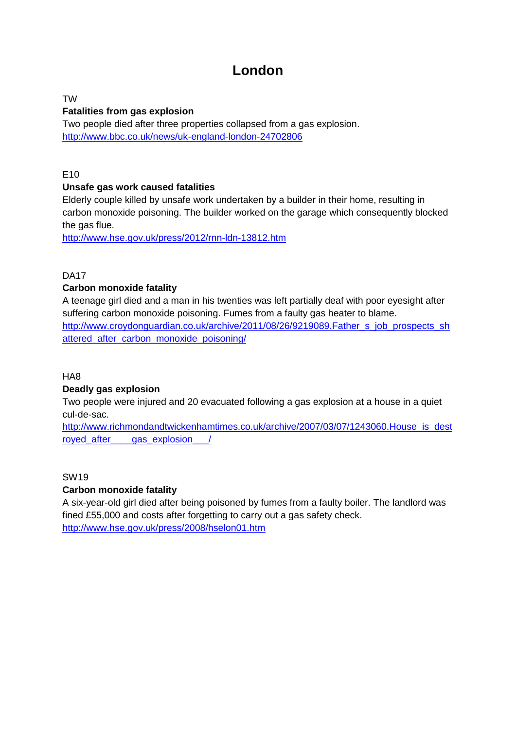# **London**

TW

## **Fatalities from gas explosion**

Two people died after three properties collapsed from a gas explosion. <http://www.bbc.co.uk/news/uk-england-london-24702806>

E10

## **Unsafe gas work caused fatalities**

Elderly couple killed by unsafe work undertaken by a builder in their home, resulting in carbon monoxide poisoning. The builder worked on the garage which consequently blocked the gas flue.

<http://www.hse.gov.uk/press/2012/rnn-ldn-13812.htm>

DA17

## **Carbon monoxide fatality**

A teenage girl died and a man in his twenties was left partially deaf with poor eyesight after suffering carbon monoxide poisoning. Fumes from a faulty gas heater to blame. [http://www.croydonguardian.co.uk/archive/2011/08/26/9219089.Father\\_s\\_job\\_prospects\\_sh](http://www.croydonguardian.co.uk/archive/2011/08/26/9219089.Father_s_job_prospects_shattered_after_carbon_monoxide_poisoning/) [attered\\_after\\_carbon\\_monoxide\\_poisoning/](http://www.croydonguardian.co.uk/archive/2011/08/26/9219089.Father_s_job_prospects_shattered_after_carbon_monoxide_poisoning/)

HA8

## **Deadly gas explosion**

Two people were injured and 20 evacuated following a gas explosion at a house in a quiet cul-de-sac.

[http://www.richmondandtwickenhamtimes.co.uk/archive/2007/03/07/1243060.House\\_is\\_dest](http://www.richmondandtwickenhamtimes.co.uk/archive/2007/03/07/1243060.House_is_destroyed_after____gas_explosion___/) royed after qas explosion

## SW19

## **Carbon monoxide fatality**

A six-year-old girl died after being poisoned by fumes from a faulty boiler. The landlord was fined £55,000 and costs after forgetting to carry out a gas safety check. <http://www.hse.gov.uk/press/2008/hselon01.htm>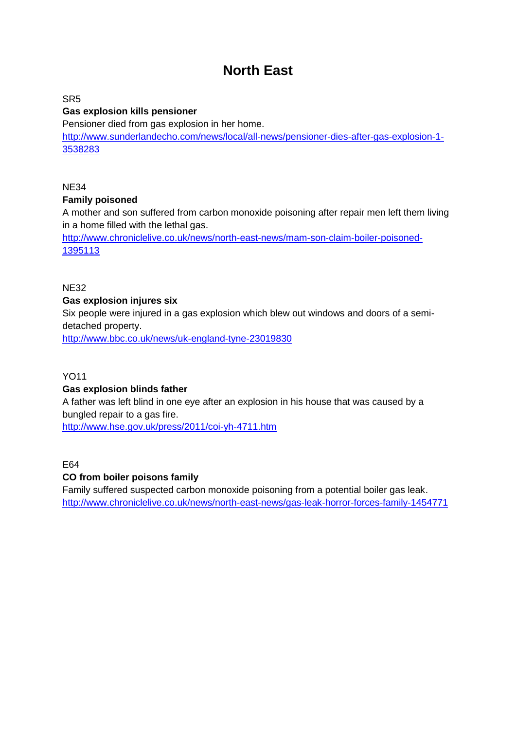# **North East**

SR5

## **Gas explosion kills pensioner**

Pensioner died from gas explosion in her home.

[http://www.sunderlandecho.com/news/local/all-news/pensioner-dies-after-gas-explosion-1-](http://www.sunderlandecho.com/news/local/all-news/pensioner-dies-after-gas-explosion-1-3538283) [3538283](http://www.sunderlandecho.com/news/local/all-news/pensioner-dies-after-gas-explosion-1-3538283)

NE34

#### **Family poisoned**

A mother and son suffered from carbon monoxide poisoning after repair men left them living in a home filled with the lethal gas.

[http://www.chroniclelive.co.uk/news/north-east-news/mam-son-claim-boiler-poisoned-](http://www.chroniclelive.co.uk/news/north-east-news/mam-son-claim-boiler-poisoned-1395113)[1395113](http://www.chroniclelive.co.uk/news/north-east-news/mam-son-claim-boiler-poisoned-1395113)

NE32

#### **Gas explosion injures six**

Six people were injured in a gas explosion which blew out windows and doors of a semidetached property.

<http://www.bbc.co.uk/news/uk-england-tyne-23019830>

#### YO11

#### **Gas explosion blinds father**

A father was left blind in one eye after an explosion in his house that was caused by a bungled repair to a gas fire.

<http://www.hse.gov.uk/press/2011/coi-yh-4711.htm>

E64

## **CO from boiler poisons family**

Family suffered suspected carbon monoxide poisoning from a potential boiler gas leak. <http://www.chroniclelive.co.uk/news/north-east-news/gas-leak-horror-forces-family-1454771>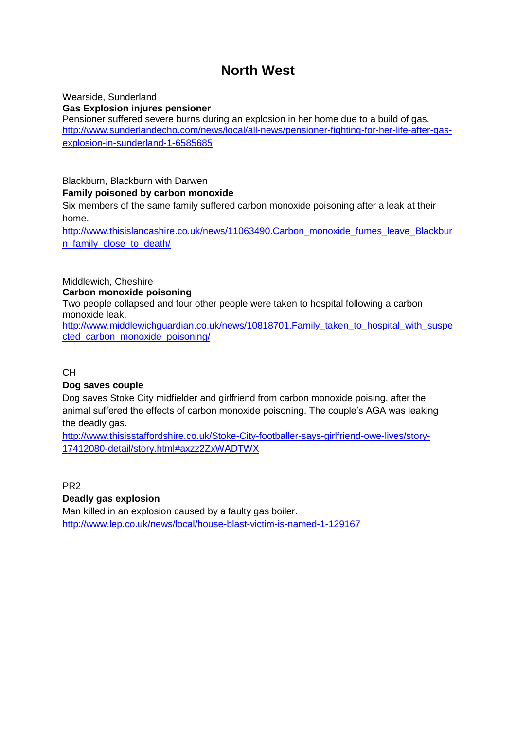# **North West**

Wearside, Sunderland **Gas Explosion injures pensioner** Pensioner suffered severe burns during an explosion in her home due to a build of gas. [http://www.sunderlandecho.com/news/local/all-news/pensioner-fighting-for-her-life-after-gas](http://www.sunderlandecho.com/news/local/all-news/pensioner-fighting-for-her-life-after-gas-explosion-in-sunderland-1-6585685)[explosion-in-sunderland-1-6585685](http://www.sunderlandecho.com/news/local/all-news/pensioner-fighting-for-her-life-after-gas-explosion-in-sunderland-1-6585685)

# Blackburn, Blackburn with Darwen **Family poisoned by carbon monoxide**

Six members of the same family suffered carbon monoxide poisoning after a leak at their home.

[http://www.thisislancashire.co.uk/news/11063490.Carbon\\_monoxide\\_fumes\\_leave\\_Blackbur](http://www.thisislancashire.co.uk/news/11063490.Carbon_monoxide_fumes_leave_Blackburn_family_close_to_death/) [n\\_family\\_close\\_to\\_death/](http://www.thisislancashire.co.uk/news/11063490.Carbon_monoxide_fumes_leave_Blackburn_family_close_to_death/)

#### Middlewich, Cheshire **Carbon monoxide poisoning**

Two people collapsed and four other people were taken to hospital following a carbon monoxide leak.

[http://www.middlewichguardian.co.uk/news/10818701.Family\\_taken\\_to\\_hospital\\_with\\_suspe](http://www.middlewichguardian.co.uk/news/10818701.Family_taken_to_hospital_with_suspected_carbon_monoxide_poisoning/) [cted\\_carbon\\_monoxide\\_poisoning/](http://www.middlewichguardian.co.uk/news/10818701.Family_taken_to_hospital_with_suspected_carbon_monoxide_poisoning/)

CH

## **Dog saves couple**

Dog saves Stoke City midfielder and girlfriend from carbon monoxide poising, after the animal suffered the effects of carbon monoxide poisoning. The couple's AGA was leaking the deadly gas.

[http://www.thisisstaffordshire.co.uk/Stoke-City-footballer-says-girlfriend-owe-lives/story-](http://www.thisisstaffordshire.co.uk/Stoke-City-footballer-says-girlfriend-owe-lives/story-17412080-detail/story.html#axzz2ZxWADTWX)[17412080-detail/story.html#axzz2ZxWADTWX](http://www.thisisstaffordshire.co.uk/Stoke-City-footballer-says-girlfriend-owe-lives/story-17412080-detail/story.html#axzz2ZxWADTWX)

PR2

## **Deadly gas explosion**

Man killed in an explosion caused by a faulty gas boiler. <http://www.lep.co.uk/news/local/house-blast-victim-is-named-1-129167>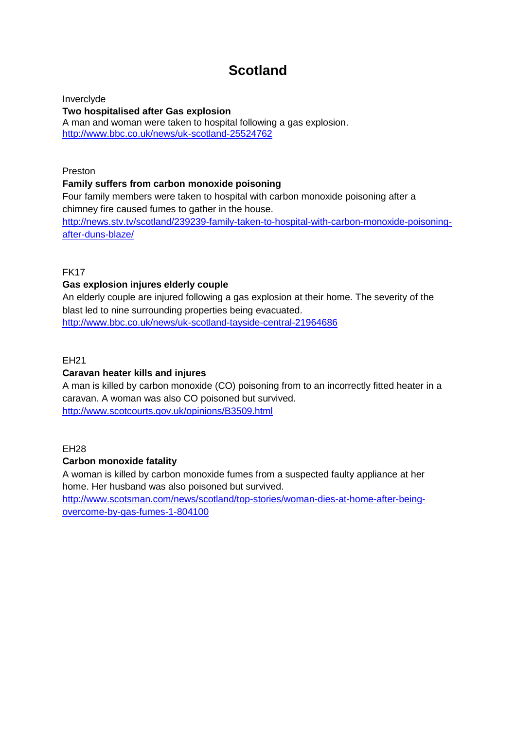# **Scotland**

Inverclyde **Two hospitalised after Gas explosion**  A man and woman were taken to hospital following a gas explosion. <http://www.bbc.co.uk/news/uk-scotland-25524762>

#### Preston

#### **Family suffers from carbon monoxide poisoning**

Four family members were taken to hospital with carbon monoxide poisoning after a chimney fire caused fumes to gather in the house. [http://news.stv.tv/scotland/239239-family-taken-to-hospital-with-carbon-monoxide-poisoning](http://news.stv.tv/scotland/239239-family-taken-to-hospital-with-carbon-monoxide-poisoning-after-duns-blaze/)[after-duns-blaze/](http://news.stv.tv/scotland/239239-family-taken-to-hospital-with-carbon-monoxide-poisoning-after-duns-blaze/)

#### FK17

#### **Gas explosion injures elderly couple**

An elderly couple are injured following a gas explosion at their home. The severity of the blast led to nine surrounding properties being evacuated. <http://www.bbc.co.uk/news/uk-scotland-tayside-central-21964686>

#### EH21

#### **Caravan heater kills and injures**

A man is killed by carbon monoxide (CO) poisoning from to an incorrectly fitted heater in a caravan. A woman was also CO poisoned but survived. <http://www.scotcourts.gov.uk/opinions/B3509.html>

#### EH28

#### **Carbon monoxide fatality**

A woman is killed by carbon monoxide fumes from a suspected faulty appliance at her home. Her husband was also poisoned but survived.

[http://www.scotsman.com/news/scotland/top-stories/woman-dies-at-home-after-being](http://www.scotsman.com/news/scotland/top-stories/woman-dies-at-home-after-being-overcome-by-gas-fumes-1-804100)[overcome-by-gas-fumes-1-804100](http://www.scotsman.com/news/scotland/top-stories/woman-dies-at-home-after-being-overcome-by-gas-fumes-1-804100)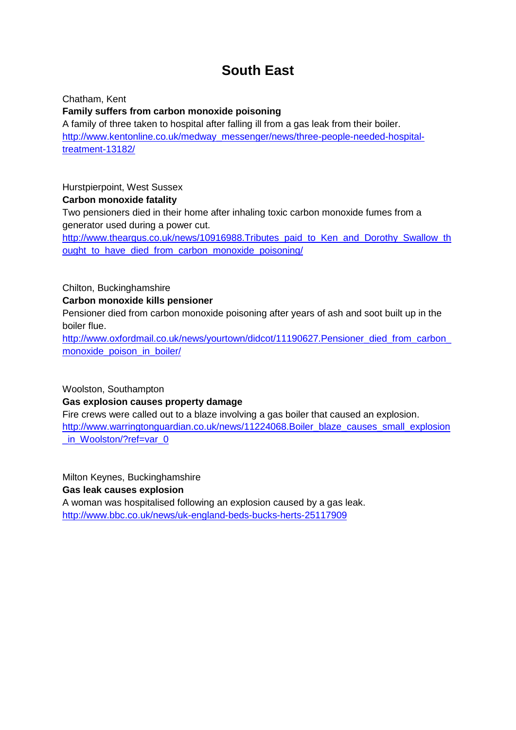# **South East**

Chatham, Kent **Family suffers from carbon monoxide poisoning** A family of three taken to hospital after falling ill from a gas leak from their boiler. [http://www.kentonline.co.uk/medway\\_messenger/news/three-people-needed-hospital](http://www.kentonline.co.uk/medway_messenger/news/three-people-needed-hospital-treatment-13182/)[treatment-13182/](http://www.kentonline.co.uk/medway_messenger/news/three-people-needed-hospital-treatment-13182/)

Hurstpierpoint, West Sussex

**Carbon monoxide fatality**

Two pensioners died in their home after inhaling toxic carbon monoxide fumes from a generator used during a power cut.

[http://www.theargus.co.uk/news/10916988.Tributes\\_paid\\_to\\_Ken\\_and\\_Dorothy\\_Swallow\\_th](http://www.theargus.co.uk/news/10916988.Tributes_paid_to_Ken_and_Dorothy_Swallow_thought_to_have_died_from_carbon_monoxide_poisoning/) [ought\\_to\\_have\\_died\\_from\\_carbon\\_monoxide\\_poisoning/](http://www.theargus.co.uk/news/10916988.Tributes_paid_to_Ken_and_Dorothy_Swallow_thought_to_have_died_from_carbon_monoxide_poisoning/)

Chilton, Buckinghamshire

**Carbon monoxide kills pensioner**

Pensioner died from carbon monoxide poisoning after years of ash and soot built up in the boiler flue.

http://www.oxfordmail.co.uk/news/yourtown/didcot/11190627.Pensioner\_died\_from\_carbon [monoxide\\_poison\\_in\\_boiler/](http://www.oxfordmail.co.uk/news/yourtown/didcot/11190627.Pensioner_died_from_carbon_monoxide_poison_in_boiler/)

Woolston, Southampton **Gas explosion causes property damage**

Fire crews were called out to a blaze involving a gas boiler that caused an explosion. [http://www.warringtonguardian.co.uk/news/11224068.Boiler\\_blaze\\_causes\\_small\\_explosion](http://www.warringtonguardian.co.uk/news/11224068.Boiler_blaze_causes_small_explosion_in_Woolston/?ref=var_0) in\_Woolston/?ref=var\_0

Milton Keynes, Buckinghamshire **Gas leak causes explosion**

A woman was hospitalised following an explosion caused by a gas leak. <http://www.bbc.co.uk/news/uk-england-beds-bucks-herts-25117909>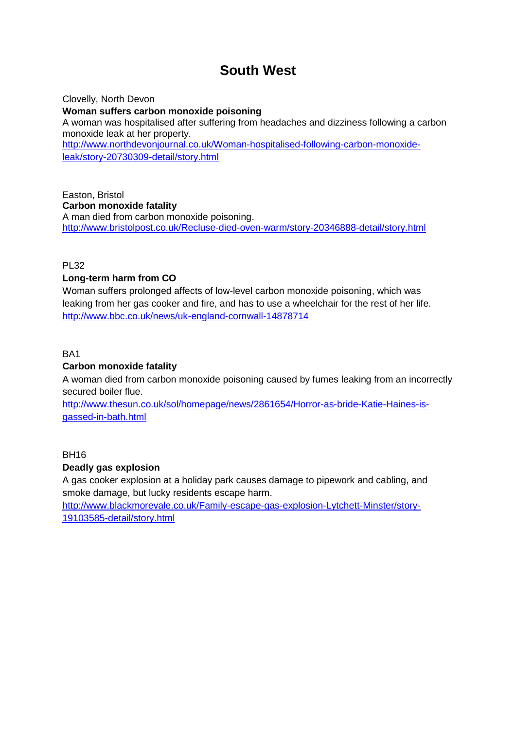# **South West**

Clovelly, North Devon **Woman suffers carbon monoxide poisoning** A woman was hospitalised after suffering from headaches and dizziness following a carbon monoxide leak at her property. [http://www.northdevonjournal.co.uk/Woman-hospitalised-following-carbon-monoxide](http://www.northdevonjournal.co.uk/Woman-hospitalised-following-carbon-monoxide-leak/story-20730309-detail/story.html)[leak/story-20730309-detail/story.html](http://www.northdevonjournal.co.uk/Woman-hospitalised-following-carbon-monoxide-leak/story-20730309-detail/story.html)

Easton, Bristol **Carbon monoxide fatality** A man died from carbon monoxide poisoning. <http://www.bristolpost.co.uk/Recluse-died-oven-warm/story-20346888-detail/story.html>

PL32

## **Long-term harm from CO**

Woman suffers prolonged affects of low-level carbon monoxide poisoning, which was leaking from her gas cooker and fire, and has to use a wheelchair for the rest of her life. <http://www.bbc.co.uk/news/uk-england-cornwall-14878714>

BA1

## **Carbon monoxide fatality**

A woman died from carbon monoxide poisoning caused by fumes leaking from an incorrectly secured boiler flue.

[http://www.thesun.co.uk/sol/homepage/news/2861654/Horror-as-bride-Katie-Haines-is](http://www.thesun.co.uk/sol/homepage/news/2861654/Horror-as-bride-Katie-Haines-is-gassed-in-bath.html)[gassed-in-bath.html](http://www.thesun.co.uk/sol/homepage/news/2861654/Horror-as-bride-Katie-Haines-is-gassed-in-bath.html)

BH16

## **Deadly gas explosion**

A gas cooker explosion at a holiday park causes damage to pipework and cabling, and smoke damage, but lucky residents escape harm.

[http://www.blackmorevale.co.uk/Family-escape-gas-explosion-Lytchett-Minster/story-](http://www.blackmorevale.co.uk/Family-escape-gas-explosion-Lytchett-Minster/story-19103585-detail/story.html)[19103585-detail/story.html](http://www.blackmorevale.co.uk/Family-escape-gas-explosion-Lytchett-Minster/story-19103585-detail/story.html)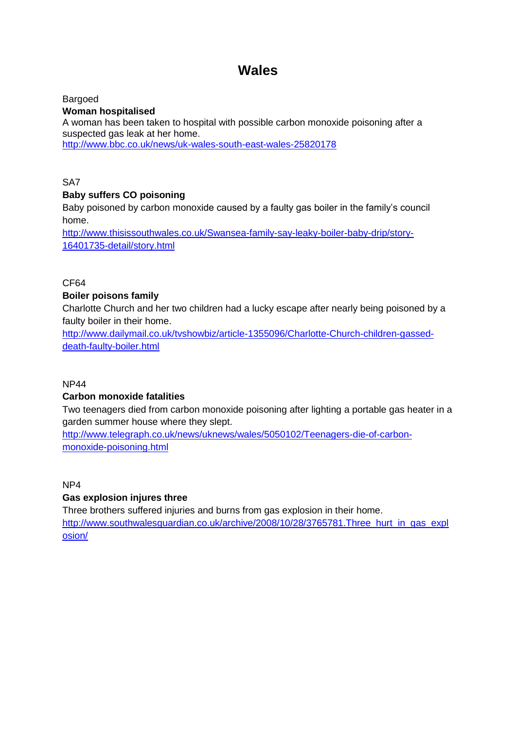# **Wales**

Bargoed **Woman hospitalised**  A woman has been taken to hospital with possible carbon monoxide poisoning after a suspected gas leak at her home. http://www.bbc.co.uk/news/uk-wales-south-east-wales-25820178

SA7

## **Baby suffers CO poisoning**

Baby poisoned by carbon monoxide caused by a faulty gas boiler in the family's council home.

[http://www.thisissouthwales.co.uk/Swansea-family-say-leaky-boiler-baby-drip/story-](http://www.thisissouthwales.co.uk/Swansea-family-say-leaky-boiler-baby-drip/story-16401735-detail/story.html)[16401735-detail/story.html](http://www.thisissouthwales.co.uk/Swansea-family-say-leaky-boiler-baby-drip/story-16401735-detail/story.html)

CF64

## **Boiler poisons family**

Charlotte Church and her two children had a lucky escape after nearly being poisoned by a faulty boiler in their home.

[http://www.dailymail.co.uk/tvshowbiz/article-1355096/Charlotte-Church-children-gassed](http://www.dailymail.co.uk/tvshowbiz/article-1355096/Charlotte-Church-children-gassed-death-faulty-boiler.html)[death-faulty-boiler.html](http://www.dailymail.co.uk/tvshowbiz/article-1355096/Charlotte-Church-children-gassed-death-faulty-boiler.html)

#### NP44

## **Carbon monoxide fatalities**

Two teenagers died from carbon monoxide poisoning after lighting a portable gas heater in a garden summer house where they slept.

[http://www.telegraph.co.uk/news/uknews/wales/5050102/Teenagers-die-of-carbon](http://www.telegraph.co.uk/news/uknews/wales/5050102/Teenagers-die-of-carbon-monoxide-poisoning.html)[monoxide-poisoning.html](http://www.telegraph.co.uk/news/uknews/wales/5050102/Teenagers-die-of-carbon-monoxide-poisoning.html)

NP4

#### **Gas explosion injures three**

Three brothers suffered injuries and burns from gas explosion in their home. [http://www.southwalesguardian.co.uk/archive/2008/10/28/3765781.Three\\_hurt\\_in\\_gas\\_expl](http://www.southwalesguardian.co.uk/archive/2008/10/28/3765781.Three_hurt_in_gas_explosion/) [osion/](http://www.southwalesguardian.co.uk/archive/2008/10/28/3765781.Three_hurt_in_gas_explosion/)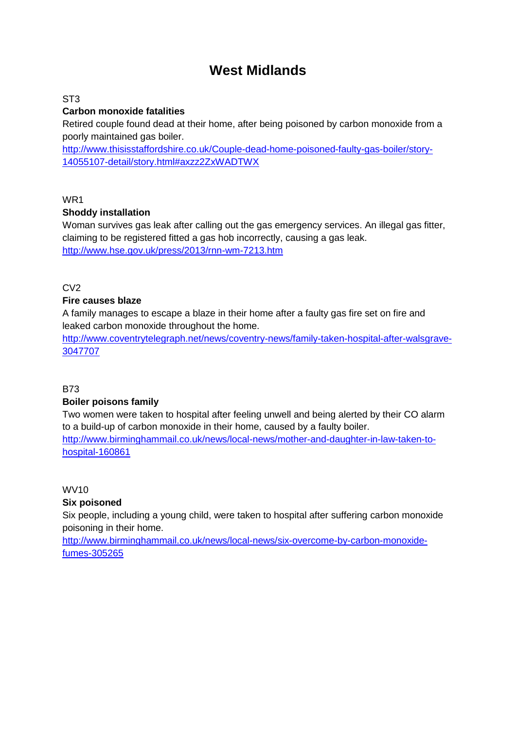# **West Midlands**

ST3

## **Carbon monoxide fatalities**

Retired couple found dead at their home, after being poisoned by carbon monoxide from a poorly maintained gas boiler.

[http://www.thisisstaffordshire.co.uk/Couple-dead-home-poisoned-faulty-gas-boiler/story-](http://www.thisisstaffordshire.co.uk/Couple-dead-home-poisoned-faulty-gas-boiler/story-14055107-detail/story.html#axzz2ZxWADTWX)[14055107-detail/story.html#axzz2ZxWADTWX](http://www.thisisstaffordshire.co.uk/Couple-dead-home-poisoned-faulty-gas-boiler/story-14055107-detail/story.html#axzz2ZxWADTWX)

WR1

#### **Shoddy installation**

Woman survives gas leak after calling out the gas emergency services. An illegal gas fitter, claiming to be registered fitted a gas hob incorrectly, causing a gas leak. <http://www.hse.gov.uk/press/2013/rnn-wm-7213.htm>

C<sub>V2</sub>

## **Fire causes blaze**

A family manages to escape a blaze in their home after a faulty gas fire set on fire and leaked carbon monoxide throughout the home.

[http://www.coventrytelegraph.net/news/coventry-news/family-taken-hospital-after-walsgrave-](http://www.coventrytelegraph.net/news/coventry-news/family-taken-hospital-after-walsgrave-3047707)[3047707](http://www.coventrytelegraph.net/news/coventry-news/family-taken-hospital-after-walsgrave-3047707)

B73

## **Boiler poisons family**

Two women were taken to hospital after feeling unwell and being alerted by their CO alarm to a build-up of carbon monoxide in their home, caused by a faulty boiler. [http://www.birminghammail.co.uk/news/local-news/mother-and-daughter-in-law-taken-to](http://www.birminghammail.co.uk/news/local-news/mother-and-daughter-in-law-taken-to-hospital-160861)[hospital-160861](http://www.birminghammail.co.uk/news/local-news/mother-and-daughter-in-law-taken-to-hospital-160861)

WV10

**Six poisoned**

Six people, including a young child, were taken to hospital after suffering carbon monoxide poisoning in their home.

[http://www.birminghammail.co.uk/news/local-news/six-overcome-by-carbon-monoxide](http://www.birminghammail.co.uk/news/local-news/six-overcome-by-carbon-monoxide-fumes-305265)[fumes-305265](http://www.birminghammail.co.uk/news/local-news/six-overcome-by-carbon-monoxide-fumes-305265)